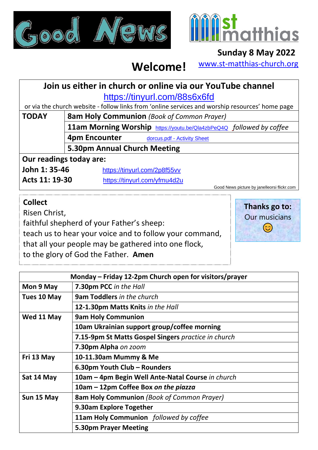



## **Sunday 8 May 2022**

[www.st-matthias-church.org](http://www.st-matthias-church.org/)

## **Welcome!**

## **Join us either in church or online via our YouTube channel** <https://tinyurl.com/88s6x6fd>

or via the church website - follow links from 'online services and worship resources' home page

**TODAY 8am Holy Communion** *(Book of Common Prayer)*

**11am Morning Worship** <https://youtu.be/Qla4zbPeQ4Q> *followed by coffee* **4pm Encounter dorcus.pdf - [Activity Sheet](https://d3hgrlq6yacptf.cloudfront.net/5f107d5e319c5/content/pages/documents/dorcus.pdf)** 

**5.30pm Annual Church Meeting**

**Our readings today are:**

**John 1: 35-46** <https://tinyurl.com/2p8f55vv>

**Acts 11: 19-30** <https://tinyurl.com/yfmu4d2u>

Good News picture by janelleorsi flickr.com

## **Collect**

Risen Christ,

faithful shepherd of your Father's sheep:

teach us to hear your voice and to follow your command,

that all your people may be gathered into one flock,

to the glory of God the Father. **Amen** 

| Thanks go to:        |
|----------------------|
| <b>Our musicians</b> |
| $\odot$              |
|                      |

| Monday - Friday 12-2pm Church open for visitors/prayer |                                                     |  |
|--------------------------------------------------------|-----------------------------------------------------|--|
| Mon 9 May                                              | 7.30pm PCC in the Hall                              |  |
| Tues 10 May                                            | <b>9am Toddlers in the church</b>                   |  |
|                                                        | 12-1.30pm Matts Knits in the Hall                   |  |
| Wed 11 May                                             | <b>9am Holy Communion</b>                           |  |
|                                                        | 10am Ukrainian support group/coffee morning         |  |
|                                                        | 7.15-9pm St Matts Gospel Singers practice in church |  |
|                                                        | 7.30pm Alpha on zoom                                |  |
| Fri 13 May                                             | 10-11.30am Mummy & Me                               |  |
|                                                        | 6.30pm Youth Club - Rounders                        |  |
| Sat 14 May                                             | 10am - 4pm Begin Well Ante-Natal Course in church   |  |
|                                                        | 10am – 12pm Coffee Box on the piazza                |  |
| Sun 15 May                                             | <b>8am Holy Communion</b> (Book of Common Prayer)   |  |
|                                                        | 9.30am Explore Together                             |  |
|                                                        | 11am Holy Communion followed by coffee              |  |
|                                                        | <b>5.30pm Prayer Meeting</b>                        |  |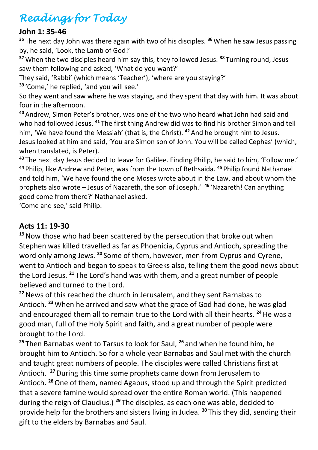# *Readings for Today*

#### **John 1: 35-46**

<sup>35</sup> The next day John was there again with two of his disciples.<sup>36</sup> When he saw Jesus passing by, he said, 'Look, the Lamb of God!'

**<sup>37</sup>**When the two disciples heard him say this, they followed Jesus. **<sup>38</sup>** Turning round, Jesus saw them following and asked, 'What do you want?'

They said, 'Rabbi' (which means 'Teacher'), 'where are you staying?'

**<sup>39</sup>** 'Come,' he replied, 'and you will see.'

So they went and saw where he was staying, and they spent that day with him. It was about four in the afternoon.

**<sup>40</sup>** Andrew, Simon Peter's brother, was one of the two who heard what John had said and who had followed Jesus. **<sup>41</sup>** The first thing Andrew did was to find his brother Simon and tell him, 'We have found the Messiah' (that is, the Christ). **<sup>42</sup>** And he brought him to Jesus. Jesus looked at him and said, 'You are Simon son of John. You will be called Cephas' (which, when translated, is Peter).

**<sup>43</sup>** The next day Jesus decided to leave for Galilee. Finding Philip, he said to him, 'Follow me.' **<sup>44</sup>** Philip, like Andrew and Peter, was from the town of Bethsaida. **<sup>45</sup>** Philip found Nathanael and told him, 'We have found the one Moses wrote about in the Law, and about whom the prophets also wrote – Jesus of Nazareth, the son of Joseph.' **<sup>46</sup>** 'Nazareth! Can anything good come from there?' Nathanael asked.

'Come and see,' said Philip.

## **Acts 11: 19-30**

**<sup>19</sup>**Now those who had been scattered by the persecution that broke out when Stephen was killed travelled as far as Phoenicia, Cyprus and Antioch, spreading the word only among Jews. **<sup>20</sup>** Some of them, however, men from Cyprus and Cyrene, went to Antioch and began to speak to Greeks also, telling them the good news about the Lord Jesus. **<sup>21</sup>** The Lord's hand was with them, and a great number of people believed and turned to the Lord.

**<sup>22</sup>**News of this reached the church in Jerusalem, and they sent Barnabas to Antioch. **<sup>23</sup>**When he arrived and saw what the grace of God had done, he was glad and encouraged them all to remain true to the Lord with all their hearts. **<sup>24</sup>**He was a good man, full of the Holy Spirit and faith, and a great number of people were brought to the Lord.

**<sup>25</sup>** Then Barnabas went to Tarsus to look for Saul, **<sup>26</sup>** and when he found him, he brought him to Antioch. So for a whole year Barnabas and Saul met with the church and taught great numbers of people. The disciples were called Christians first at Antioch. **<sup>27</sup>**During this time some prophets came down from Jerusalem to Antioch. **<sup>28</sup>**One of them, named Agabus, stood up and through the Spirit predicted that a severe famine would spread over the entire Roman world. (This happened during the reign of Claudius.) **<sup>29</sup>** The disciples, as each one was able, decided to provide help for the brothers and sisters living in Judea. **<sup>30</sup>** This they did, sending their gift to the elders by Barnabas and Saul.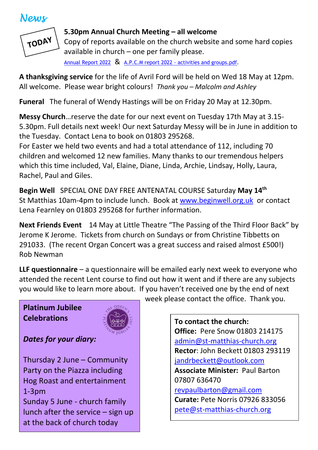## *News*



#### **5.30pm Annual Church Meeting – all welcome**

Copy of reports available on the church website and some hard copies available in church – one per family please.

[Annual Report 2022](https://d3hgrlq6yacptf.cloudfront.net/5f107d5e319c5/content/pages/documents/annual-report-2022-final-website-.pdf) & A.P.C.M report 2022 - [activities and groups.pdf.](https://d3hgrlq6yacptf.cloudfront.net/5f107d5e319c5/content/pages/documents/apcm-report-2022-activities-and-groups.pdf)

**A thanksgiving service** for the life of Avril Ford will be held on Wed 18 May at 12pm. All welcome. Please wear bright colours! *Thank you – Malcolm and Ashley*

**Funeral** The funeral of Wendy Hastings will be on Friday 20 May at 12.30pm.

**Messy Church**…reserve the date for our next event on Tuesday 17th May at 3.15- 5.30pm. Full details next week! Our next Saturday Messy will be in June in addition to the Tuesday. Contact Lena to book on 01803 295268.

For Easter we held two events and had a total attendance of 112, including 70 children and welcomed 12 new families. Many thanks to our tremendous helpers which this time included, Val, Elaine, Diane, Linda, Archie, Lindsay, Holly, Laura, Rachel, Paul and Giles.

**Begin Well** SPECIAL ONE DAY FREE ANTENATAL COURSE Saturday **May 14th** St Matthias 10am-4pm to include lunch. Book at [www.beginwell.org.uk](http://www.beginwell.org.uk/) or contact Lena Fearnley on 01803 295268 for further information.

**Next Friends Event** 14 May at Little Theatre "The Passing of the Third Floor Back" by Jerome K Jerome. Tickets from church on Sundays or from Christine Tibbetts on 291033. (The recent Organ Concert was a great success and raised almost £500!) Rob Newman

**LLF questionnaire** – a questionnaire will be emailed early next week to everyone who attended the recent Lent course to find out how it went and if there are any subjects you would like to learn more about. If you haven't received one by the end of next

## **Platinum Jubilee Celebrations**



## *Dates for your diary:*

Thursday 2 June – Community Party on the Piazza including Hog Roast and entertainment 1-3pm Sunday 5 June - church family

lunch after the service – sign up at the back of church today

week please contact the office. Thank you.

**To contact the church: Office:** Pere Snow 01803 214175 [admin@st-matthias-church.org](mailto:admin@st-matthias-church.org) **Rector**: John Beckett 01803 293119 [jandrbeckett@outlook.com](mailto:jandrbeckett@outlook.com) **Associate Minister:** Paul Barton 07807 636470 [revpaulbarton@gmail.com](mailto:revpaulbarton@gmail.com) **Curate:** Pete Norris 07926 833056 [pete@st-matthias-church.org](mailto:pete@st-matthias-church.org)